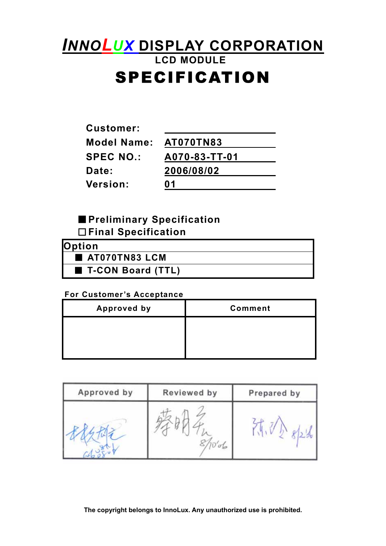# *INNOLUX* **DISPLAY CORPORATION LCD MODULE**  SPECIFICATION

| <b>Customer:</b>   |                  |
|--------------------|------------------|
| <b>Model Name:</b> | <b>AT070TN83</b> |
| <b>SPEC NO.:</b>   | A070-83-TT-01    |
| Date:              | 2006/08/02       |
| Version:           | N 1              |

## ■**Preliminary Specification**  □**Final Specification**

| <b>Option</b>     |  |
|-------------------|--|
| AT070TN83 LCM     |  |
| T-CON Board (TTL) |  |

### **For Customer's Acceptance**

| <b>Approved by</b> | <b>Comment</b> |
|--------------------|----------------|
|                    |                |
|                    |                |
|                    |                |

| Approved by | Reviewed by | Prepared by |
|-------------|-------------|-------------|
|             | 'oL         |             |

**The copyright belongs to InnoLux. Any unauthorized use is prohibited.**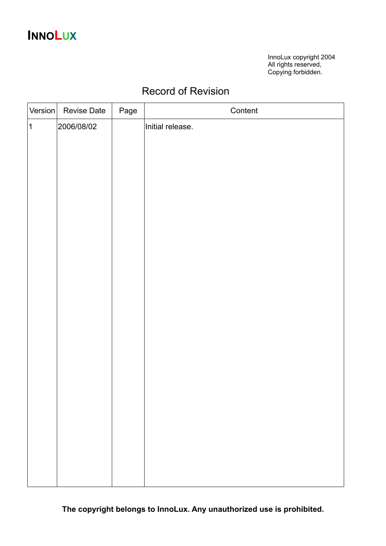# **INNOLUX**

InnoLux copyright 2004 All rights reserved, Copying forbidden.

## Record of Revision

| Version        | <b>Revise Date</b> | Page | Content          |
|----------------|--------------------|------|------------------|
| $\overline{1}$ | 2006/08/02         |      | Initial release. |
|                |                    |      |                  |
|                |                    |      |                  |
|                |                    |      |                  |
|                |                    |      |                  |
|                |                    |      |                  |
|                |                    |      |                  |
|                |                    |      |                  |
|                |                    |      |                  |
|                |                    |      |                  |
|                |                    |      |                  |
|                |                    |      |                  |
|                |                    |      |                  |
|                |                    |      |                  |
|                |                    |      |                  |
|                |                    |      |                  |
|                |                    |      |                  |
|                |                    |      |                  |
|                |                    |      |                  |
|                |                    |      |                  |
|                |                    |      |                  |
|                |                    |      |                  |
|                |                    |      |                  |
|                |                    |      |                  |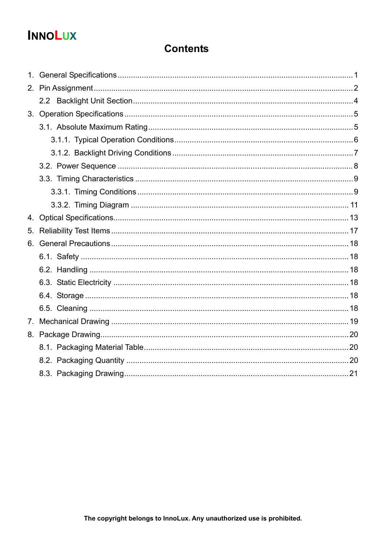# **INNOLUX**

## **Contents**

| 4.             |  |
|----------------|--|
| 5.             |  |
|                |  |
|                |  |
|                |  |
|                |  |
|                |  |
|                |  |
| 7 <sub>1</sub> |  |
|                |  |
|                |  |
|                |  |
|                |  |
|                |  |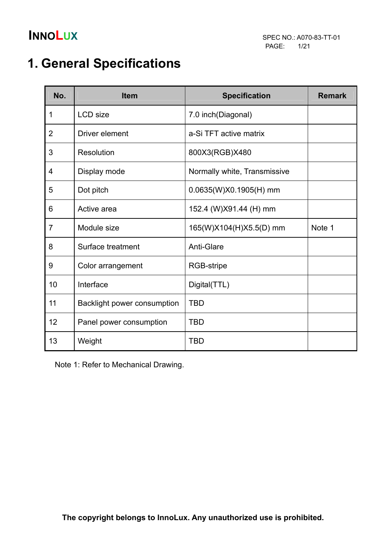# **1. General Specifications**

| No.            | <b>Item</b>                 | <b>Specification</b>         | <b>Remark</b> |
|----------------|-----------------------------|------------------------------|---------------|
| 1              | <b>LCD</b> size             | 7.0 inch(Diagonal)           |               |
| $\overline{2}$ | Driver element              | a-Si TFT active matrix       |               |
| 3              | <b>Resolution</b>           | 800X3(RGB)X480               |               |
| 4              | Display mode                | Normally white, Transmissive |               |
| 5              | Dot pitch                   | 0.0635(W)X0.1905(H) mm       |               |
| 6              | Active area                 | 152.4 (W)X91.44 (H) mm       |               |
| $\overline{7}$ | Module size                 | 165(W)X104(H)X5.5(D) mm      | Note 1        |
| 8              | Surface treatment           | Anti-Glare                   |               |
| 9              | Color arrangement           | RGB-stripe                   |               |
| 10             | Interface                   | Digital(TTL)                 |               |
| 11             | Backlight power consumption | <b>TBD</b>                   |               |
| 12             | Panel power consumption     | <b>TBD</b>                   |               |
| 13             | Weight                      | <b>TBD</b>                   |               |

Note 1: Refer to Mechanical Drawing.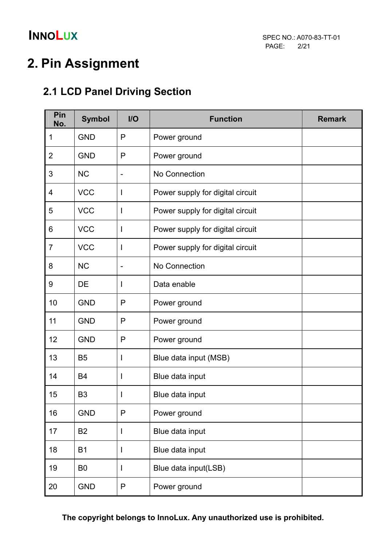# **2. Pin Assignment**

## **2.1 LCD Panel Driving Section**

| Pin<br>No.     | <b>Symbol</b>  | $II$                     | <b>Function</b>                  | <b>Remark</b> |
|----------------|----------------|--------------------------|----------------------------------|---------------|
| 1              | <b>GND</b>     | P                        | Power ground                     |               |
| $\overline{2}$ | <b>GND</b>     | P                        | Power ground                     |               |
| 3              | <b>NC</b>      | $\blacksquare$           | No Connection                    |               |
| 4              | <b>VCC</b>     |                          | Power supply for digital circuit |               |
| 5              | <b>VCC</b>     | T                        | Power supply for digital circuit |               |
| 6              | <b>VCC</b>     | I                        | Power supply for digital circuit |               |
| 7              | <b>VCC</b>     |                          | Power supply for digital circuit |               |
| 8              | <b>NC</b>      | $\overline{\phantom{a}}$ | No Connection                    |               |
| 9              | DE             | I                        | Data enable                      |               |
| 10             | <b>GND</b>     | P                        | Power ground                     |               |
| 11             | <b>GND</b>     | P                        | Power ground                     |               |
| 12             | <b>GND</b>     | P                        | Power ground                     |               |
| 13             | <b>B5</b>      | I                        | Blue data input (MSB)            |               |
| 14             | <b>B4</b>      | I                        | Blue data input                  |               |
| 15             | B <sub>3</sub> |                          | Blue data input                  |               |
| 16             | <b>GND</b>     | P                        | Power ground                     |               |
| 17             | <b>B2</b>      | I                        | Blue data input                  |               |
| 18             | <b>B1</b>      | I                        | Blue data input                  |               |
| 19             | B <sub>0</sub> | I                        | Blue data input(LSB)             |               |
| 20             | <b>GND</b>     | $\mathsf{P}$             | Power ground                     |               |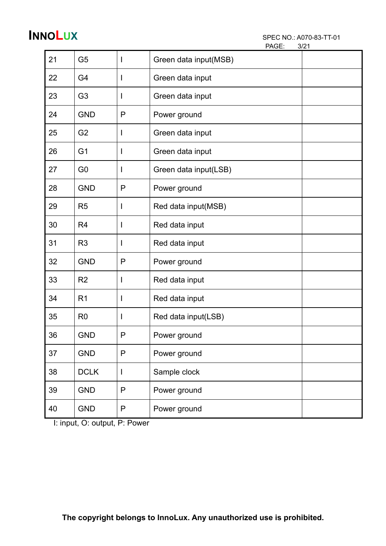| PAGE: | 3/21 |
|-------|------|
|       |      |

| 21 | G <sub>5</sub> |              | Green data input(MSB) |  |
|----|----------------|--------------|-----------------------|--|
| 22 | G4             |              | Green data input      |  |
| 23 | G <sub>3</sub> |              | Green data input      |  |
| 24 | <b>GND</b>     | P            | Power ground          |  |
| 25 | G <sub>2</sub> |              | Green data input      |  |
| 26 | G <sub>1</sub> | I            | Green data input      |  |
| 27 | G <sub>0</sub> |              | Green data input(LSB) |  |
| 28 | <b>GND</b>     | P            | Power ground          |  |
| 29 | R <sub>5</sub> | I            | Red data input(MSB)   |  |
| 30 | R <sub>4</sub> |              | Red data input        |  |
| 31 | R <sub>3</sub> | I            | Red data input        |  |
| 32 | <b>GND</b>     | P            | Power ground          |  |
| 33 | R <sub>2</sub> |              | Red data input        |  |
| 34 | R <sub>1</sub> | I            | Red data input        |  |
| 35 | R <sub>0</sub> | I            | Red data input(LSB)   |  |
| 36 | <b>GND</b>     | P            | Power ground          |  |
| 37 | <b>GND</b>     | $\mathsf{P}$ | Power ground          |  |
| 38 | <b>DCLK</b>    | I            | Sample clock          |  |
| 39 | <b>GND</b>     | $\mathsf{P}$ | Power ground          |  |
| 40 | <b>GND</b>     | $\mathsf{P}$ | Power ground          |  |

I: input, O: output, P: Power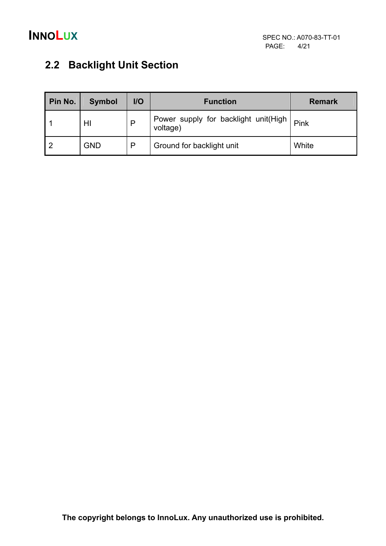

## **2.2 Backlight Unit Section**

| Pin No. | <b>Symbol</b> | $II$ | <b>Function</b>                                 | <b>Remark</b> |
|---------|---------------|------|-------------------------------------------------|---------------|
|         | HI            | P    | Power supply for backlight unit(High   voltage) | Pink          |
|         | GND           | P    | Ground for backlight unit                       | White         |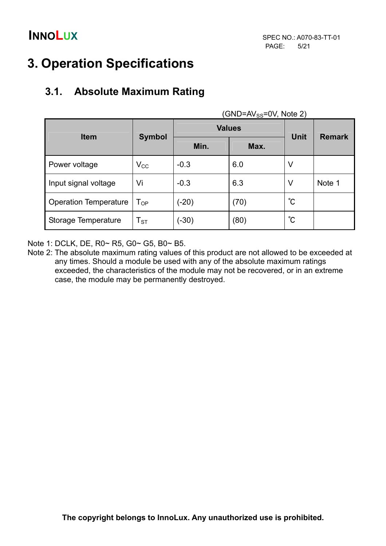# **3. Operation Specifications**

## **3.1. Absolute Maximum Rating**

|                              |                   | <b>Values</b> | $UIV-PIVSS=UV$ , $NUE Z$<br><b>Unit</b> |             |               |
|------------------------------|-------------------|---------------|-----------------------------------------|-------------|---------------|
| <b>Item</b>                  | <b>Symbol</b>     | Min.          | Max.                                    |             | <b>Remark</b> |
| Power voltage                | $V_{\rm CC}$      | $-0.3$        | 6.0                                     | V           |               |
| Input signal voltage         | Vi                | $-0.3$        | 6.3                                     | V           | Note 1        |
| <b>Operation Temperature</b> | $T_{OP}$          | $(-20)$       | (70)                                    | $^{\circ}C$ |               |
| Storage Temperature          | $T_{\textrm{ST}}$ | (-30)         | (80)                                    | $^{\circ}C$ |               |

 $(CND=N/5N)$ 

Note 1: DCLK, DE, R0~ R5, G0~ G5, B0~ B5.

Note 2: The absolute maximum rating values of this product are not allowed to be exceeded at any times. Should a module be used with any of the absolute maximum ratings exceeded, the characteristics of the module may not be recovered, or in an extreme case, the module may be permanently destroyed.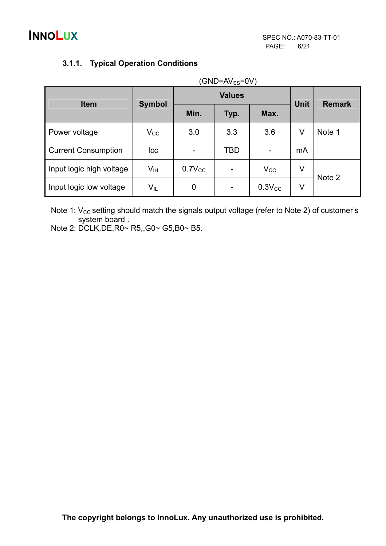| (GND=AV <sub>SS</sub> =0V) |                            |             |      |                          |                |               |  |  |
|----------------------------|----------------------------|-------------|------|--------------------------|----------------|---------------|--|--|
| <b>Item</b>                | <b>Values</b>              |             |      |                          |                |               |  |  |
|                            | <b>Symbol</b>              | Min.        | Typ. | Max.                     | <b>Unit</b>    | <b>Remark</b> |  |  |
| Power voltage              | $V_{CC}$                   | 3.0         | 3.3  | 3.6                      | V              | Note 1        |  |  |
| <b>Current Consumption</b> | <b>Icc</b>                 | -           | TBD  | $\overline{\phantom{a}}$ | m <sub>A</sub> |               |  |  |
| Input logic high voltage   | V <sub>IH</sub>            | $0.7V_{CC}$ |      | $V_{CC}$                 | V              | Note 2        |  |  |
| Input logic low voltage    | $\mathsf{V}_{\mathsf{IL}}$ | 0           |      | $0.3V_{CC}$              | V              |               |  |  |

### **3.1.1. Typical Operation Conditions**

Note 1:  $V_{CC}$  setting should match the signals output voltage (refer to Note 2) of customer's system board .

Note 2: DCLK,DE,R0~ R5,,G0~ G5,B0~ B5.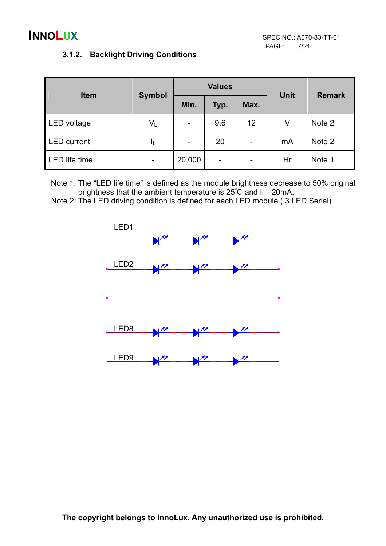### **3.1.2. Backlight Driving Conditions**

| <b>Item</b>          |       | <b>Values</b><br><b>Symbol</b> |      |      | <b>Unit</b> | <b>Remark</b> |  |
|----------------------|-------|--------------------------------|------|------|-------------|---------------|--|
|                      |       | Min.                           | Typ. | Max. |             |               |  |
| LED voltage          | $V_L$ | $\overline{\phantom{a}}$       | 9.6  | 12   | V           | Note 2        |  |
| <b>LED</b> current   | ΙL    | $\overline{\phantom{a}}$       | 20   | -    | mA          | Note 2        |  |
| <b>LED</b> life time | ٠     | 20,000                         | ۰    | -    | Hr          | Note 1        |  |

Note 1: The "LED life time" is defined as the module brightness decrease to 50% original brightness that the ambient temperature is  $25^{\circ}C$  and  $I_L = 20mA$ .

Note 2: The LED driving condition is defined for each LED module.( 3 LED Serial)

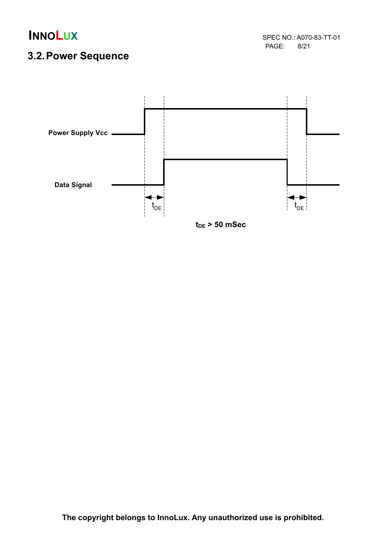PAGE: 8/21

## **3.2. Power Sequence**

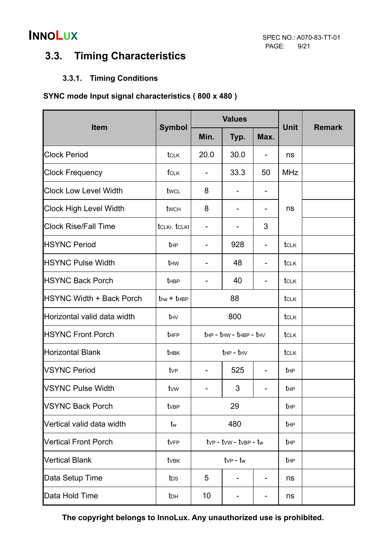## **3.3. Timing Characteristics**

### **3.3.1. Timing Conditions**

#### **SYNC mode Input signal characteristics ( 800 x 480 )**

|                                 |                  |                                           | <b>Values</b>                              |                          |                 |               |
|---------------------------------|------------------|-------------------------------------------|--------------------------------------------|--------------------------|-----------------|---------------|
| <b>Item</b>                     | <b>Symbol</b>    | Min.                                      | Typ.                                       | Max.                     | <b>Unit</b>     | <b>Remark</b> |
| <b>Clock Period</b>             | tclk             | 20.0                                      | 30.0                                       | -                        | ns              |               |
| <b>Clock Frequency</b>          | fclk             | $\qquad \qquad \blacksquare$              | 33.3                                       | 50                       | <b>MHz</b>      |               |
| <b>Clock Low Level Width</b>    | twcL             | 8                                         |                                            |                          |                 |               |
| <b>Clock High Level Width</b>   | twch             | 8                                         |                                            | -                        | ns              |               |
| <b>Clock Rise/Fall Time</b>     | tCLKr, tCLKf     | $\qquad \qquad \blacksquare$              |                                            | 3                        |                 |               |
| <b>HSYNC Period</b>             | t <sub>HP</sub>  |                                           | 928                                        | $\overline{\phantom{a}}$ | tcrk            |               |
| <b>HSYNC Pulse Width</b>        | thw              |                                           | 48                                         | -                        | tclk            |               |
| <b>HSYNC Back Porch</b>         | t <sub>HBP</sub> |                                           | 40                                         |                          | tclk            |               |
| <b>HSYNC Width + Back Porch</b> | $thw + tHBP$     |                                           | 88                                         |                          | tclk            |               |
| Horizontal valid data width     | thy              |                                           | 800                                        |                          | tclk            |               |
| <b>HSYNC Front Porch</b>        | tHFP             |                                           | $t_{HP}$ - $t_{HW}$ - $t_{HBP}$ - $t_{HV}$ |                          | tclk            |               |
| <b>Horizontal Blank</b>         | thBK             |                                           | $t_{HP}$ - $t_{HV}$                        |                          | tclk            |               |
| <b>VSYNC Period</b>             | tv <sub>P</sub>  |                                           | 525                                        |                          | t <sub>HP</sub> |               |
| <b>VSYNC Pulse Width</b>        | tvw              |                                           | 3                                          |                          | t <sub>HP</sub> |               |
| <b>VSYNC Back Porch</b>         | tvBP             |                                           | 29                                         |                          | t <sub>HP</sub> |               |
| Vertical valid data width       | tw               |                                           | 480                                        |                          | $t_{HP}$        |               |
| <b>Vertical Front Porch</b>     | tvFP             | $t_{VP}$ - $t_{VW}$ - $t_{VBP}$ - $t_{w}$ |                                            | t <sub>HP</sub>          |                 |               |
| <b>Vertical Blank</b>           | tv <sub>BK</sub> | $t_{VP}$ - $t_{w}$                        |                                            | t <sub>HP</sub>          |                 |               |
| Data Setup Time                 | tos              | 5                                         |                                            | ns                       |                 |               |
| Data Hold Time                  | t <sub>DH</sub>  | 10                                        |                                            | -                        | ns              |               |

**The copyright belongs to InnoLux. Any unauthorized use is prohibited.**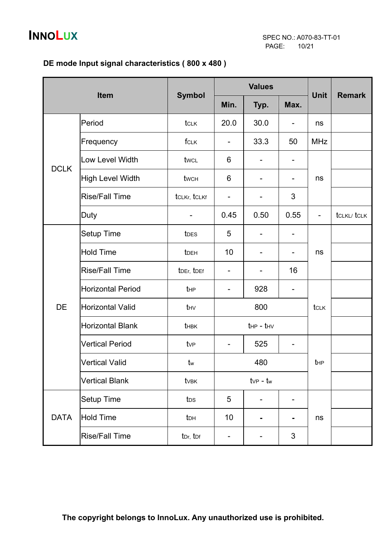### **DE mode Input signal characteristics ( 800 x 480 )**

| Item        |                          | <b>Symbol</b>        |                     | <b>Values</b>      | <b>Unit</b>              |                          |                    |
|-------------|--------------------------|----------------------|---------------------|--------------------|--------------------------|--------------------------|--------------------|
|             |                          |                      | Min.                | Typ.               | Max.                     |                          | <b>Remark</b>      |
|             | Period                   | tclk                 | 20.0                | 30.0               | $\overline{\phantom{a}}$ | ns                       |                    |
|             | Frequency                | fclk                 | -                   | 33.3               | 50                       | <b>MHz</b>               |                    |
| <b>DCLK</b> | Low Level Width          | twcL                 | 6                   | -                  | -                        |                          |                    |
|             | <b>High Level Width</b>  | twch                 | 6                   |                    |                          | ns                       |                    |
|             | <b>Rise/Fall Time</b>    | tCLKr, tCLKf         | -                   |                    | 3                        |                          |                    |
|             | Duty                     |                      | 0.45                | 0.50               | 0.55                     | $\overline{\phantom{0}}$ | <b>tCLKL/ tCLK</b> |
|             | Setup Time               | t <sub>DES</sub>     | 5                   | -                  | $\overline{\phantom{a}}$ |                          |                    |
|             | <b>Hold Time</b>         | tDEH                 | 10                  |                    |                          | ns                       |                    |
|             | <b>Rise/Fall Time</b>    | tDEr, tDEf           | ۰                   |                    | 16                       |                          |                    |
|             | <b>Horizontal Period</b> | t <sub>HP</sub>      | 928<br>-            |                    | -                        |                          |                    |
| <b>DE</b>   | <b>Horizontal Valid</b>  | thy                  | 800                 |                    |                          | tclk                     |                    |
|             | <b>Horizontal Blank</b>  | thBK                 | $t_{HP}$ - $t_{HV}$ |                    |                          |                          |                    |
|             | <b>Vertical Period</b>   | tv <sub>P</sub>      | -                   | 525<br>-           |                          |                          |                    |
|             | <b>Vertical Valid</b>    | tw                   |                     | 480                |                          | $t_{HP}$                 |                    |
|             | <b>Vertical Blank</b>    | tvBK                 |                     | $t_{VP}$ - $t_{w}$ |                          |                          |                    |
|             | <b>Setup Time</b>        | t <sub>DS</sub>      | 5                   |                    |                          |                          |                    |
| <b>DATA</b> | <b>Hold Time</b>         | t <sub>DH</sub>      | 10                  |                    | -                        | ns                       |                    |
|             | <b>Rise/Fall Time</b>    | t <sub>Dr, tDf</sub> | -                   |                    | $\sqrt{3}$               |                          |                    |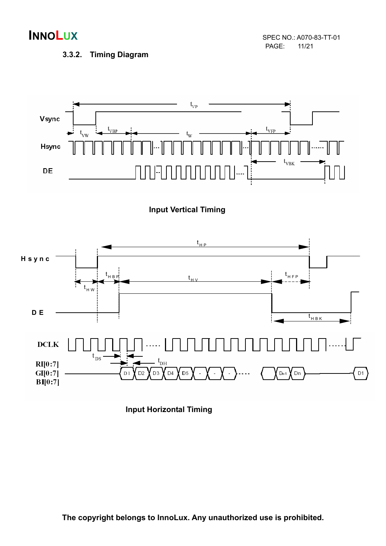**INNOLUX** SPEC NO.: A070-83-TT-01 PAGE:

#### **3.3.2. Timing Diagram**



### **Input Vertical Timing**



**Input Horizontal Timing**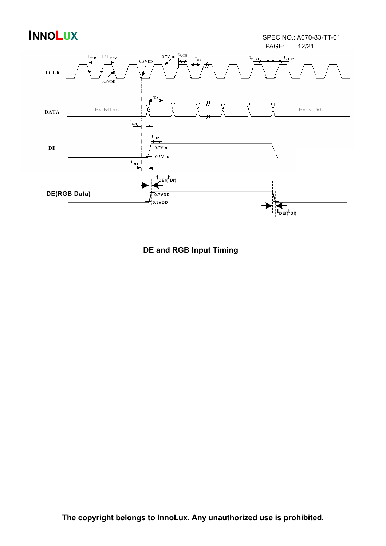

**DE and RGB Input Timing**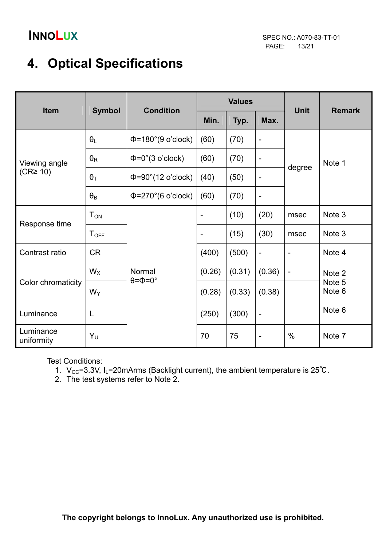# **4. Optical Specifications**

| Item                    | <b>Symbol</b>         | <b>Condition</b>                       |                              | <b>Values</b> |                              | <b>Unit</b>       | <b>Remark</b>    |  |
|-------------------------|-----------------------|----------------------------------------|------------------------------|---------------|------------------------------|-------------------|------------------|--|
|                         |                       |                                        | Min.                         | Typ.          | Max.                         |                   |                  |  |
|                         | $\theta_L$            | $\Phi$ =180°(9 o'clock)                | (60)                         | (70)          | -                            | degree            | Note 1           |  |
| Viewing angle           | $\theta_{\mathsf{R}}$ | $\Phi = 0^\circ (3 \text{ o'clock})$   | (60)                         | (70)          | $\overline{\phantom{0}}$     |                   |                  |  |
| $(CR \geq 10)$          | $\theta_T$            | $\Phi = 90^\circ (12 \text{ o'clock})$ | (40)                         | (50)          | -                            |                   |                  |  |
|                         | $\theta_B$            | $\Phi$ =270°(6 o'clock)                | (60)                         | (70)          | $\qquad \qquad \blacksquare$ |                   |                  |  |
| Response time           | $T_{ON}$              |                                        | $\qquad \qquad \blacksquare$ | (10)          | (20)                         | msec              | Note 3           |  |
|                         | $T_{\text{OFF}}$      |                                        |                              | (15)          | (30)                         | msec              | Note 3           |  |
| Contrast ratio          | <b>CR</b>             |                                        | (400)                        | (500)         | $\overline{a}$               | -                 | Note 4           |  |
|                         | $W_X$                 | Normal<br>$\theta = \Phi = 0^\circ$    | (0.26)                       | (0.31)        | (0.36)                       | $\qquad \qquad -$ | Note 2           |  |
| Color chromaticity      | $W_Y$                 |                                        | (0.28)                       | (0.33)        | (0.38)                       |                   | Note 5<br>Note 6 |  |
| Luminance               | L                     |                                        | (250)                        | (300)         | $\overline{\phantom{0}}$     |                   | Note 6           |  |
| Luminance<br>uniformity | Yυ                    |                                        | 70                           | 75            | $\qquad \qquad -$            | $\%$              | Note 7           |  |

Test Conditions:

1.  $V_{CC}$ =3.3V, I<sub>L</sub>=20mArms (Backlight current), the ambient temperature is 25°C.

2. The test systems refer to Note 2.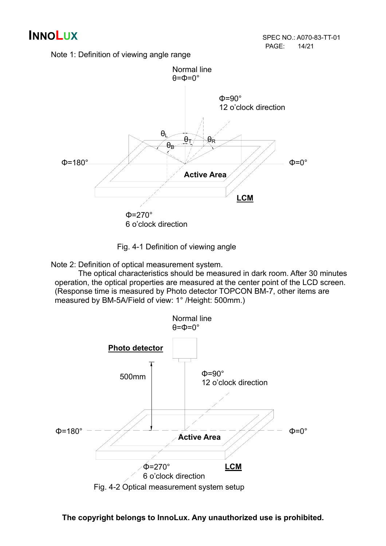Note 1: Definition of viewing angle range



Fig. 4-1 Definition of viewing angle

Note 2: Definition of optical measurement system.

 The optical characteristics should be measured in dark room. After 30 minutes operation, the optical properties are measured at the center point of the LCD screen. (Response time is measured by Photo detector TOPCON BM-7, other items are measured by BM-5A/Field of view: 1° /Height: 500mm.)



**The copyright belongs to InnoLux. Any unauthorized use is prohibited.**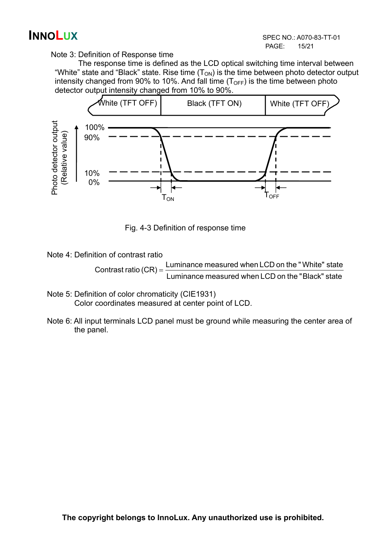Note 3: Definition of Response time

 The response time is defined as the LCD optical switching time interval between "White" state and "Black" state. Rise time  $(T_{ON})$  is the time between photo detector output intensity changed from 90% to 10%. And fall time  $(T<sub>OFF</sub>)$  is the time between photo detector output intensity changed from 10% to 90%.



Fig. 4-3 Definition of response time

Note 4: Definition of contrast ratio

 Luminance measured when LCD on the "Black" state Contrast ratio  $(CR) =$  Luminance measured when LCD on the "White" state

- Note 5: Definition of color chromaticity (CIE1931) Color coordinates measured at center point of LCD.
- Note 6: All input terminals LCD panel must be ground while measuring the center area of the panel.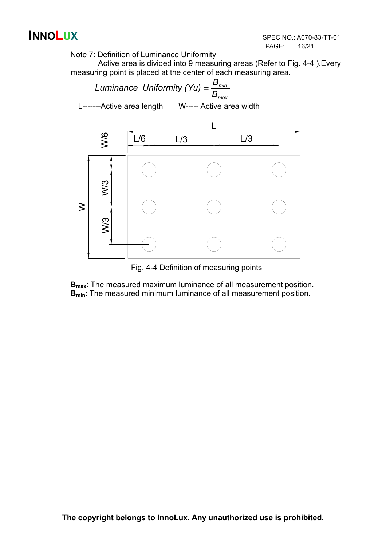

Note 7: Definition of Luminance Uniformity

Active area is divided into 9 measuring areas (Refer to Fig. 4-4 ).Every measuring point is placed at the center of each measuring area.



Fig. 4-4 Definition of measuring points

**B**<sub>max</sub>: The measured maximum luminance of all measurement position. **B<sub>min</sub>**: The measured minimum luminance of all measurement position.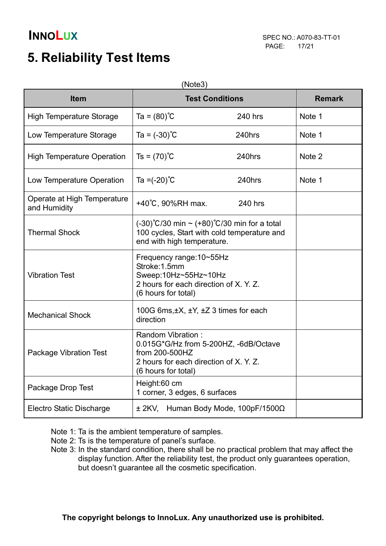# **5. Reliability Test Items**

| <b>Item</b>                                 | <b>Test Conditions</b>                                                                                                                        |         | <b>Remark</b> |
|---------------------------------------------|-----------------------------------------------------------------------------------------------------------------------------------------------|---------|---------------|
| <b>High Temperature Storage</b>             | $Ta = (80)$ °C                                                                                                                                | 240 hrs | Note 1        |
| Low Temperature Storage                     | Ta = $(-30)$ °C                                                                                                                               | 240hrs  | Note 1        |
| <b>High Temperature Operation</b>           | $Ts = (70)$ °C                                                                                                                                | 240hrs  | Note 2        |
| Low Temperature Operation                   | Ta = $(-20)$ °C                                                                                                                               | 240hrs  | Note 1        |
| Operate at High Temperature<br>and Humidity | +40°C, 90%RH max.                                                                                                                             | 240 hrs |               |
| <b>Thermal Shock</b>                        | $(-30)^{\circ}C/30$ min ~ $(+80)^{\circ}C/30$ min for a total<br>100 cycles, Start with cold temperature and<br>end with high temperature.    |         |               |
| <b>Vibration Test</b>                       | Frequency range: 10~55Hz<br>Stroke: 1.5mm<br>Sweep:10Hz~55Hz~10Hz<br>2 hours for each direction of X. Y. Z.<br>(6 hours for total)            |         |               |
| <b>Mechanical Shock</b>                     | 100G 6ms, ±X, ±Y, ±Z 3 times for each<br>direction                                                                                            |         |               |
| <b>Package Vibration Test</b>               | Random Vibration:<br>0.015G*G/Hz from 5-200HZ, -6dB/Octave<br>from 200-500HZ<br>2 hours for each direction of X. Y. Z.<br>(6 hours for total) |         |               |
| Package Drop Test                           | Height:60 cm<br>1 corner, 3 edges, 6 surfaces                                                                                                 |         |               |
| Electro Static Discharge                    | $\pm$ 2KV, Human Body Mode, 100pF/1500 $\Omega$                                                                                               |         |               |

Note 1: Ta is the ambient temperature of samples.

- Note 2: Ts is the temperature of panel's surface.
- Note 3: In the standard condition, there shall be no practical problem that may affect the display function. After the reliability test, the product only guarantees operation, but doesn't guarantee all the cosmetic specification.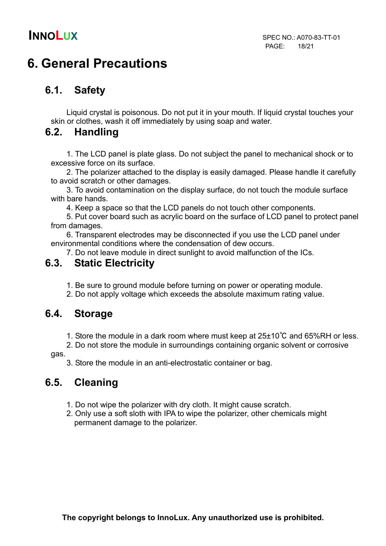# **6. General Precautions**

## **6.1. Safety**

Liquid crystal is poisonous. Do not put it in your mouth. If liquid crystal touches your skin or clothes, wash it off immediately by using soap and water.

## **6.2. Handling**

1. The LCD panel is plate glass. Do not subject the panel to mechanical shock or to excessive force on its surface.

2. The polarizer attached to the display is easily damaged. Please handle it carefully to avoid scratch or other damages.

3. To avoid contamination on the display surface, do not touch the module surface with bare hands.

4. Keep a space so that the LCD panels do not touch other components.

5. Put cover board such as acrylic board on the surface of LCD panel to protect panel from damages.

6. Transparent electrodes may be disconnected if you use the LCD panel under environmental conditions where the condensation of dew occurs.

7. Do not leave module in direct sunlight to avoid malfunction of the ICs.

### **6.3. Static Electricity**

1. Be sure to ground module before turning on power or operating module.

2. Do not apply voltage which exceeds the absolute maximum rating value.

## **6.4. Storage**

1. Store the module in a dark room where must keep at 25±10℃ and 65%RH or less.

2. Do not store the module in surroundings containing organic solvent or corrosive

gas.

3. Store the module in an anti-electrostatic container or bag.

## **6.5. Cleaning**

- 1. Do not wipe the polarizer with dry cloth. It might cause scratch.
- 2. Only use a soft sloth with IPA to wipe the polarizer, other chemicals might permanent damage to the polarizer.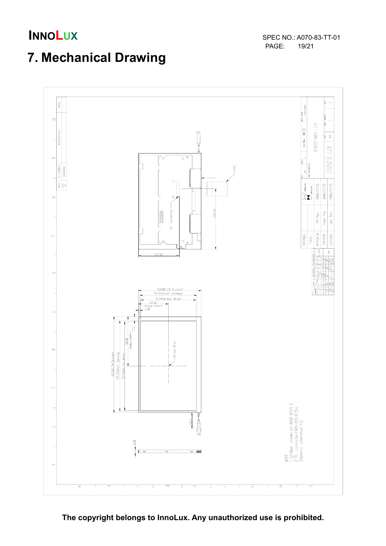**INNOLUX** SPEC NO.: A070-83-TT-01 PAGE:

# **7. Mechanical Drawing**



**The copyright belongs to InnoLux. Any unauthorized use is prohibited.**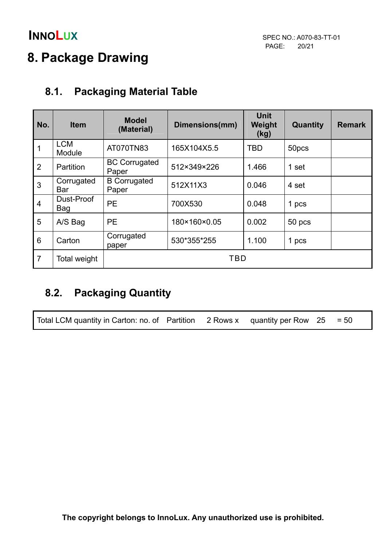# **8. Package Drawing**

## **8.1. Packaging Material Table**

| No.             | <b>Item</b>              | <b>Model</b><br>(Material)    | Dimensions(mm) | <b>Unit</b><br>Weight<br>(kg) | Quantity | <b>Remark</b> |  |
|-----------------|--------------------------|-------------------------------|----------------|-------------------------------|----------|---------------|--|
| 1               | <b>LCM</b><br>Module     | AT070TN83                     | 165X104X5.5    | <b>TBD</b>                    | 50pcs    |               |  |
| $\overline{2}$  | <b>Partition</b>         | <b>BC Corrugated</b><br>Paper | 512×349×226    | 1.466                         | 1 set    |               |  |
| 3               | Corrugated<br><b>Bar</b> | <b>B</b> Corrugated<br>Paper  | 512X11X3       | 0.046                         | 4 set    |               |  |
| $\overline{4}$  | Dust-Proof<br>Bag        | <b>PE</b>                     | 700X530        | 0.048                         | 1 pcs    |               |  |
| 5               | A/S Bag                  | <b>PE</b>                     | 180×160×0.05   | 0.002                         | 50 pcs   |               |  |
| $6\phantom{1}6$ | Carton                   | Corrugated<br>paper           | 530*355*255    | 1.100                         | 1 pcs    |               |  |
| $\overline{7}$  | Total weight             | TBD                           |                |                               |          |               |  |

## **8.2. Packaging Quantity**

Total LCM quantity in Carton: no. of Partition 2 Rows x quantity per Row  $25 = 50$